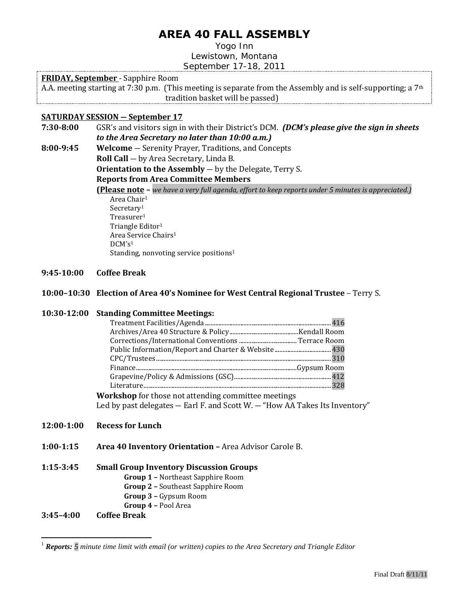# **AREA 40 FALL ASSEMBLY**

Yogo Inn Lewistown, Montana September 17-18, 2011

## **FRIDAY, September** - Sapphire Room

A.A. meeting starting at 7:30 p.m. (This meeting is separate from the Assembly and is self-supporting; a 7<sup>th</sup> tradition basket will be passed)

## **SATURDAY SESSION ― September 17**

**7:30-8:00** GSR's and visitors sign in with their District's DCM. *(DCM's please give the sign in sheets to the Area Secretary no later than 10:00 a.m.)* 

**8:00-9:45 Welcome** ― Serenity Prayer, Traditions, and Concepts **Roll Call** ― by Area Secretary, Linda B. **Orientation to the Assembly** — by the Delegate, Terry S.

**Reports from Area Committee Members** 

<span id="page-0-0"></span>**(Please note –** *we have a very full agenda, effort to keep reports under 5 minutes is appreciated.)* Area Chair<sup>1</sup> Secretar[y](#page-0-0)<sup>1</sup> Treasurer[1](#page-0-0) Triangle Editor[1](#page-0-0) Area Service Chairs<sup>[1](#page-0-0)</sup> DCM's<sup>[1](#page-0-0)</sup> Standing, nonvoting service positions<sup>[1](#page-0-0)</sup>

- **9:45-10:00 Coffee Break**
- **10:00–10:30 Election of Area 40's Nominee for West Central Regional Trustee** Terry S.

#### **10:30-12:00 Standing Committee Meetings:**

**Workshop** for those not attending committee meetings Led by past delegates ― Earl F. and Scott W. ― "How AA Takes Its Inventory"

## **12:00-1:00 Recess for Lunch**

**1:00-1:15 Area 40 Inventory Orientation –** Area Advisor Carole B.

## **1:15-3:45 Small Group Inventory Discussion Groups**

- **Group 1 –** Northeast Sapphire Room
	- **Group 2 –** Southeast Sapphire Room
	- **Group 3 –** Gypsum Room
	- **Group 4 –** Pool Area

#### **3:45–4:00 Coffee Break**

 $\overline{a}$ 

<sup>1</sup> *Reports: 5 minute time limit with email (or written) copies to the Area Secretary and Triangle Editor*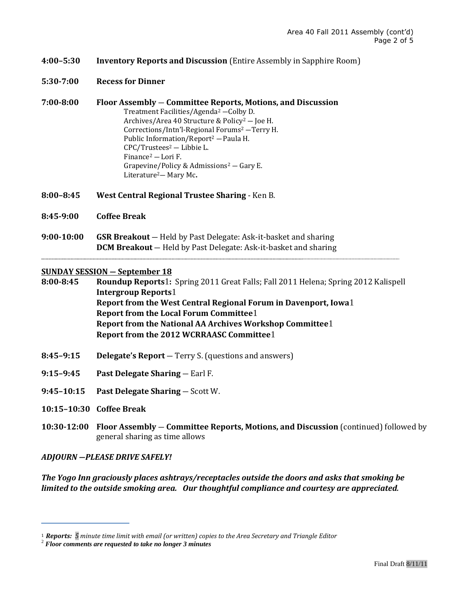- **4:00–5:30 Inventory Reports and Discussion** (Entire Assembly in Sapphire Room)
- **5:30-7:00 Recess for Dinner**
- **7:00-8:00 Floor Assembly** ― **Committee Reports, Motions, and Discussion**  Treatment Facilities/Agenda<sup>2</sup> ―Colby D. Archives/Area 40 Structure & Policy<sup>2</sup> ― Joe H. Corrections/Intn'l-Regional Forums<sup>2</sup> ―Terry H. Public Information/Report<sup>2</sup> ―Paula H. CPC/Trustees<sup>2</sup> ― Libbie L. Finance<sup>2</sup> — Lori F. Grapevine/Policy & Admissions<sup>2</sup> — Gary E. Literature2― Mary Mc**.**
- **8:00–8:45 West Central Regional Trustee Sharing** Ken B.
- **8:45-9:00 Coffee Break**
- **9:00-10:00 GSR Breakout** ― Held by Past Delegate: Ask-it-basket and sharing **DCM Breakout** ― Held by Past Delegate: Ask-it-basket and sharing

#### **SUNDAY SESSION ― September 18**

**8:00-8:45 Roundup Reports**[1](#page-0-0)**:** Spring 2011 Great Falls; Fall 2011 Helena; Spring 2012 Kalispell **Intergroup Reports**[1](#page-0-0) **Report from the West Central Regional Forum in Davenport, Iowa**[1](#page-0-0) **Report from the Local Forum Committee**[1](#page-0-0) **Report from the National AA Archives Workshop Committee**[1](#page-0-0) **Report from the 2012 WCRRAASC Committee**[1](#page-0-0)

- **8:45–9:15 Delegate's Report** ― Terry S. (questions and answers)
- **9:15–9:45 Past Delegate Sharing** ― Earl F.
- **9:45–10:15 Past Delegate Sharing** ― Scott W.
- **10:15–10:30 Coffee Break**
- **10:30-12:00 Floor Assembly** ― **Committee Reports, Motions, and Discussion** (continued) followed by general sharing as time allows

*ADJOURN ―PLEASE DRIVE SAFELY!*

*The Yogo Inn graciously places ashtrays/receptacles outside the doors and asks that smoking be limited to the outside smoking area. Our thoughtful compliance and courtesy are appreciated.* 

[<sup>1</sup>](#page-0-0) *Reports: 5 minute time limit with email (or written) copies to the Area Secretary and Triangle Editor* 

<sup>2</sup> *Floor comments are requested to take no longer 3 minutes*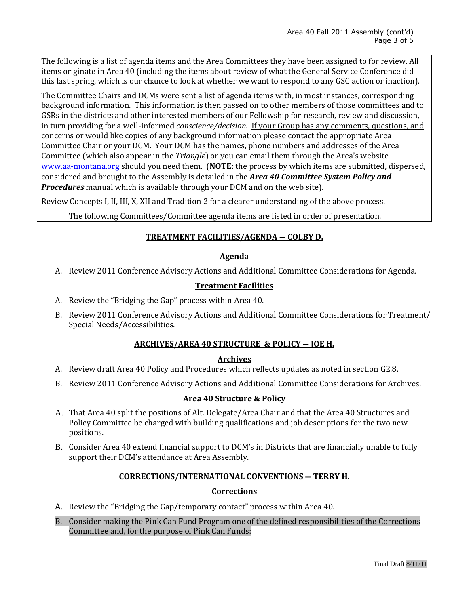The following is a list of agenda items and the Area Committees they have been assigned to for review. All items originate in Area 40 (including the items about review of what the General Service Conference did this last spring, which is our chance to look at whether we want to respond to any GSC action or inaction).

The Committee Chairs and DCMs were sent a list of agenda items with, in most instances, corresponding background information. This information is then passed on to other members of those committees and to GSRs in the districts and other interested members of our Fellowship for research, review and discussion, in turn providing for a well-informed *conscience/decision.* If your Group has any comments, questions, and concerns or would like copies of any background information please contact the appropriate Area Committee Chair or your DCM. Your DCM has the names, phone numbers and addresses of the Area Committee (which also appear in the *Triangle*) or you can email them through the Area's website [www.aa-montana.org](http://www.aa-montana.org/) should you need them. (**NOTE:** the process by which items are submitted, dispersed, considered and brought to the Assembly is detailed in the *Area 40 Committee System Policy and Procedures* manual which is available through your DCM and on the web site).

Review Concepts I, II, III, X, XII and Tradition 2 for a clearer understanding of the above process.

The following Committees/Committee agenda items are listed in order of presentation.

## **TREATMENT FACILITIES/AGENDA ― COLBY D.**

#### **Agenda**

A. Review 2011 Conference Advisory Actions and Additional Committee Considerations for Agenda.

## **Treatment Facilities**

- A. Review the "Bridging the Gap" process within Area 40.
- B. Review 2011 Conference Advisory Actions and Additional Committee Considerations for Treatment/ Special Needs/Accessibilities.

## **ARCHIVES/AREA 40 STRUCTURE & POLICY ― JOE H.**

#### **Archives**

- A. Review draft Area 40 Policy and Procedures which reflects updates as noted in section G2.8.
- B. Review 2011 Conference Advisory Actions and Additional Committee Considerations for Archives.

## **Area 40 Structure & Policy**

- A. That Area 40 split the positions of Alt. Delegate/Area Chair and that the Area 40 Structures and Policy Committee be charged with building qualifications and job descriptions for the two new positions.
- B. Consider Area 40 extend financial support to DCM's in Districts that are financially unable to fully support their DCM's attendance at Area Assembly.

#### **CORRECTIONS/INTERNATIONAL CONVENTIONS ― TERRY H.**

## **Corrections**

- A. Review the "Bridging the Gap/temporary contact" process within Area 40.
- B. Consider making the Pink Can Fund Program one of the defined responsibilities of the Corrections Committee and, for the purpose of Pink Can Funds: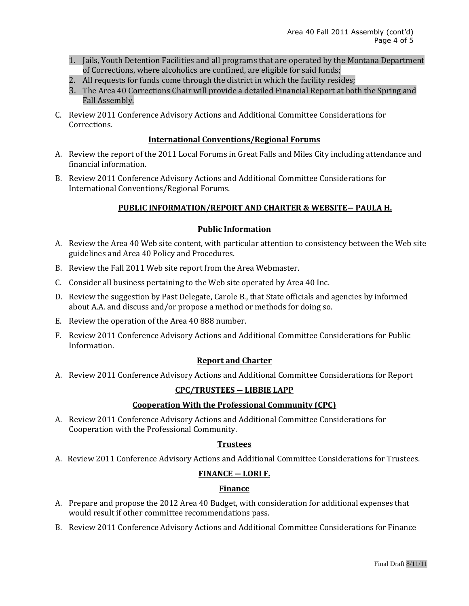- 1. Jails, Youth Detention Facilities and all programs that are operated by the Montana Department of Corrections, where alcoholics are confined, are eligible for said funds;
- 2. All requests for funds come through the district in which the facility resides;
- 3. The Area 40 Corrections Chair will provide a detailed Financial Report at both the Spring and Fall Assembly.
- C. Review 2011 Conference Advisory Actions and Additional Committee Considerations for Corrections.

## **International Conventions/Regional Forums**

- A. Review the report of the 2011 Local Forums in Great Falls and Miles City including attendance and financial information.
- B. Review 2011 Conference Advisory Actions and Additional Committee Considerations for International Conventions/Regional Forums.

## **PUBLIC INFORMATION/REPORT AND CHARTER & WEBSITE― PAULA H.**

## **Public Information**

- A. Review the Area 40 Web site content, with particular attention to consistency between the Web site guidelines and Area 40 Policy and Procedures.
- B. Review the Fall 2011 Web site report from the Area Webmaster.
- C. Consider all business pertaining to the Web site operated by Area 40 Inc.
- D. Review the suggestion by Past Delegate, Carole B., that State officials and agencies by informed about A.A. and discuss and/or propose a method or methods for doing so.
- E. Review the operation of the Area 40 888 number.
- F. Review 2011 Conference Advisory Actions and Additional Committee Considerations for Public Information.

#### **Report and Charter**

A. Review 2011 Conference Advisory Actions and Additional Committee Considerations for Report

#### **CPC/TRUSTEES ― LIBBIE LAPP**

### **Cooperation With the Professional Community (CPC)**

A. Review 2011 Conference Advisory Actions and Additional Committee Considerations for Cooperation with the Professional Community.

#### **Trustees**

A. Review 2011 Conference Advisory Actions and Additional Committee Considerations for Trustees.

## **FINANCE ― LORI F.**

#### **Finance**

- A. Prepare and propose the 2012 Area 40 Budget, with consideration for additional expenses that would result if other committee recommendations pass.
- B. Review 2011 Conference Advisory Actions and Additional Committee Considerations for Finance